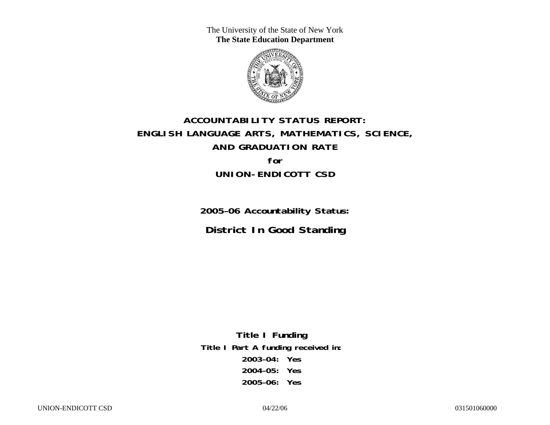The University of the State of New York **The State Education Department** 



# **ACCOUNTABILITY STATUS REPORT: ENGLISH LANGUAGE ARTS, MATHEMATICS, SCIENCE, AND GRADUATION RATE for UNION-ENDICOTT CSD**

**2005–06 Accountability Status: District In Good Standing** 

**Title I Funding Title I Part A funding received in: 2003–04: Yes 2004–05: Yes 2005–06: Yes**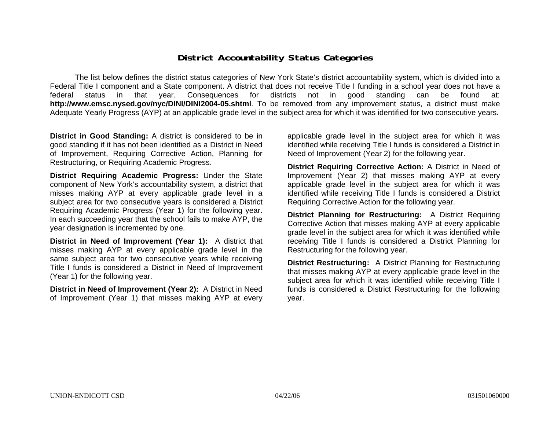### **District Accountability Status Categories**

The list below defines the district status categories of New York State's district accountability system, which is divided into a Federal Title I component and a State component. A district that does not receive Title I funding in a school year does not have a federal status in that year. Consequences for districts not in good standing can be found at: **http://www.emsc.nysed.gov/nyc/DINI/DINI2004-05.shtml**. To be removed from any improvement status, a district must make Adequate Yearly Progress (AYP) at an applicable grade level in the subject area for which it was identified for two consecutive years.

**District in Good Standing:** A district is considered to be in good standing if it has not been identified as a District in Need of Improvement, Requiring Corrective Action, Planning for Restructuring, or Requiring Academic Progress.

**District Requiring Academic Progress:** Under the State component of New York's accountability system, a district that misses making AYP at every applicable grade level in a subject area for two consecutive years is considered a District Requiring Academic Progress (Year 1) for the following year. In each succeeding year that the school fails to make AYP, the year designation is incremented by one.

**District in Need of Improvement (Year 1):** A district that misses making AYP at every applicable grade level in the same subject area for two consecutive years while receiving Title I funds is considered a District in Need of Improvement (Year 1) for the following year.

**District in Need of Improvement (Year 2):** A District in Need of Improvement (Year 1) that misses making AYP at every

applicable grade level in the subject area for which it was identified while receiving Title I funds is considered a District in Need of Improvement (Year 2) for the following year.

**District Requiring Corrective Action:** A District in Need of Improvement (Year 2) that misses making AYP at every applicable grade level in the subject area for which it was identified while receiving Title I funds is considered a District Requiring Corrective Action for the following year.

**District Planning for Restructuring:** A District Requiring Corrective Action that misses making AYP at every applicable grade level in the subject area for which it was identified while receiving Title I funds is considered a District Planning for Restructuring for the following year.

**District Restructuring:** A District Planning for Restructuring that misses making AYP at every applicable grade level in the subject area for which it was identified while receiving Title I funds is considered a District Restructuring for the following year.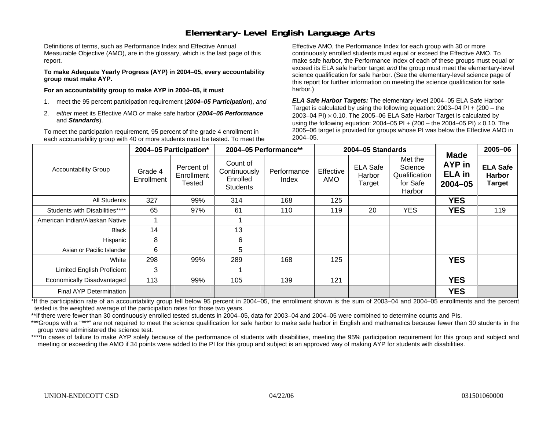### **Elementary-Level English Language Arts**

Definitions of terms, such as Performance Index and Effective Annual Measurable Objective (AMO), are in the glossary, which is the last page of this report.

**To make Adequate Yearly Progress (AYP) in 2004–05, every accountability group must make AYP.** 

**For an accountability group to make AYP in 2004–05, it must** 

- 1. meet the 95 percent participation requirement (*2004–05 Participation*), *and*
- 2. *either* meet its Effective AMO *or* make safe harbor (*2004–05 Performance*  and *Standards*).

To meet the participation requirement, 95 percent of the grade 4 enrollment in each accountability group with 40 or more students must be tested. To meet the

Effective AMO, the Performance Index for each group with 30 or more continuously enrolled students must equal or exceed the Effective AMO. To make safe harbor, the Performance Index of each of these groups must equal or exceed its ELA safe harbor target *and* the group must meet the elementary-level science qualification for safe harbor. (See the elementary-level science page of this report for further information on meeting the science qualification for safe harbor.)

*ELA Safe Harbor Targets:* The elementary-level 2004–05 ELA Safe Harbor Target is calculated by using the following equation: 2003–04 PI + (200 – the 2003–04 PI)  $\times$  0.10. The 2005–06 ELA Safe Harbor Target is calculated by using the following equation: 2004–05 PI + (200 – the 2004–05 PI) × 0.10. The 2005–06 target is provided for groups whose PI was below the Effective AMO in 2004–05.

|                                |                       | 2004-05 Participation*                    | 2004-05 Performance**                                   |                      |                  | 2004-05 Standards                   |                                                           |                                                       | 2005-06                                           |
|--------------------------------|-----------------------|-------------------------------------------|---------------------------------------------------------|----------------------|------------------|-------------------------------------|-----------------------------------------------------------|-------------------------------------------------------|---------------------------------------------------|
| <b>Accountability Group</b>    | Grade 4<br>Enrollment | Percent of<br>Enrollment<br><b>Tested</b> | Count of<br>Continuously<br>Enrolled<br><b>Students</b> | Performance<br>Index | Effective<br>AMO | <b>ELA Safe</b><br>Harbor<br>Target | Met the<br>Science<br>Qualification<br>for Safe<br>Harbor | <b>Made</b><br>AYP in<br><b>ELA</b> in<br>$2004 - 05$ | <b>ELA Safe</b><br><b>Harbor</b><br><b>Target</b> |
| All Students                   | 327                   | 99%                                       | 314                                                     | 168                  | 125              |                                     |                                                           | <b>YES</b>                                            |                                                   |
| Students with Disabilities**** | 65                    | 97%                                       | 61                                                      | 110                  | 119              | 20                                  | <b>YES</b>                                                | <b>YES</b>                                            | 119                                               |
| American Indian/Alaskan Native |                       |                                           |                                                         |                      |                  |                                     |                                                           |                                                       |                                                   |
| <b>Black</b>                   | 14                    |                                           | 13                                                      |                      |                  |                                     |                                                           |                                                       |                                                   |
| Hispanic                       | 8                     |                                           | 6                                                       |                      |                  |                                     |                                                           |                                                       |                                                   |
| Asian or Pacific Islander      | 6                     |                                           | 5                                                       |                      |                  |                                     |                                                           |                                                       |                                                   |
| White                          | 298                   | 99%                                       | 289                                                     | 168                  | 125              |                                     |                                                           | <b>YES</b>                                            |                                                   |
| Limited English Proficient     | 3                     |                                           |                                                         |                      |                  |                                     |                                                           |                                                       |                                                   |
| Economically Disadvantaged     | 113                   | 99%                                       | 105                                                     | 139                  | 121              |                                     |                                                           | <b>YES</b>                                            |                                                   |
| <b>Final AYP Determination</b> |                       |                                           |                                                         |                      |                  |                                     |                                                           | <b>YES</b>                                            |                                                   |

\*If the participation rate of an accountability group fell below 95 percent in 2004–05, the enrollment shown is the sum of 2003–04 and 2004–05 enrollments and the percent tested is the weighted average of the participation rates for those two years.

\*\*If there were fewer than 30 continuously enrolled tested students in 2004–05, data for 2003–04 and 2004–05 were combined to determine counts and PIs.

\*\*\*Groups with a "\*\*\*" are not required to meet the science qualification for safe harbor to make safe harbor in English and mathematics because fewer than 30 students in the group were administered the science test.

\*\*\*\*In cases of failure to make AYP solely because of the performance of students with disabilities, meeting the 95% participation requirement for this group and subject and meeting or exceeding the AMO if 34 points were added to the PI for this group and subject is an approved way of making AYP for students with disabilities.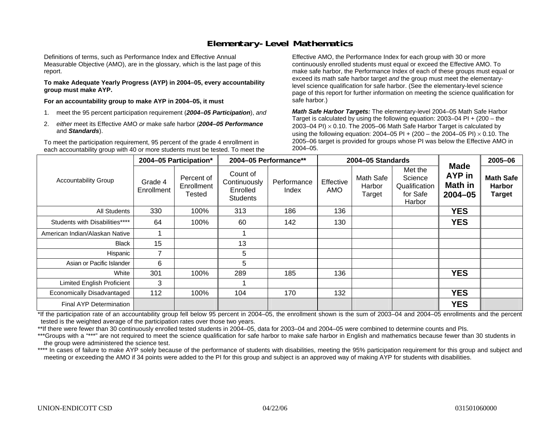### **Elementary-Level Mathematics**

Definitions of terms, such as Performance Index and Effective Annual Measurable Objective (AMO), are in the glossary, which is the last page of this report.

**To make Adequate Yearly Progress (AYP) in 2004–05, every accountability group must make AYP.** 

**For an accountability group to make AYP in 2004–05, it must** 

- 1. meet the 95 percent participation requirement (*2004–05 Participation*), *and*
- 2. *either* meet its Effective AMO *or* make safe harbor (*2004–05 Performance*  and *Standards*).

To meet the participation requirement, 95 percent of the grade 4 enrollment in each accountability group with 40 or more students must be tested. To meet the

Effective AMO, the Performance Index for each group with 30 or more continuously enrolled students must equal or exceed the Effective AMO. To make safe harbor, the Performance Index of each of these groups must equal or exceed its math safe harbor target *and* the group must meet the elementarylevel science qualification for safe harbor. (See the elementary-level science page of this report for further information on meeting the science qualification for safe harbor.)

*Math Safe Harbor Targets:* The elementary-level 2004–05 Math Safe Harbor Target is calculated by using the following equation: 2003–04 PI + (200 – the 2003–04 PI) <sup>×</sup> 0.10. The 2005–06 Math Safe Harbor Target is calculated by using the following equation: 2004–05 PI + (200 – the 2004–05 PI) × 0.10. The 2005–06 target is provided for groups whose PI was below the Effective AMO in 2004–05.

|                                   |                       | 2004-05 Participation*             |                                                         | 2004-05 Performance** |                         | 2004-05 Standards             |                                                           |                                                        | 2005-06                                            |
|-----------------------------------|-----------------------|------------------------------------|---------------------------------------------------------|-----------------------|-------------------------|-------------------------------|-----------------------------------------------------------|--------------------------------------------------------|----------------------------------------------------|
| <b>Accountability Group</b>       | Grade 4<br>Enrollment | Percent of<br>Enrollment<br>Tested | Count of<br>Continuously<br>Enrolled<br><b>Students</b> | Performance<br>Index  | Effective<br><b>AMO</b> | Math Safe<br>Harbor<br>Target | Met the<br>Science<br>Qualification<br>for Safe<br>Harbor | <b>Made</b><br><b>AYP</b> in<br>Math in<br>$2004 - 05$ | <b>Math Safe</b><br><b>Harbor</b><br><b>Target</b> |
| All Students                      | 330                   | 100%                               | 313                                                     | 186                   | 136                     |                               |                                                           | <b>YES</b>                                             |                                                    |
| Students with Disabilities****    | 64                    | 100%                               | 60                                                      | 142                   | 130                     |                               |                                                           | <b>YES</b>                                             |                                                    |
| American Indian/Alaskan Native    |                       |                                    |                                                         |                       |                         |                               |                                                           |                                                        |                                                    |
| <b>Black</b>                      | 15                    |                                    | 13                                                      |                       |                         |                               |                                                           |                                                        |                                                    |
| Hispanic                          | 7                     |                                    | 5                                                       |                       |                         |                               |                                                           |                                                        |                                                    |
| Asian or Pacific Islander         | 6                     |                                    | 5                                                       |                       |                         |                               |                                                           |                                                        |                                                    |
| White                             | 301                   | 100%                               | 289                                                     | 185                   | 136                     |                               |                                                           | <b>YES</b>                                             |                                                    |
| <b>Limited English Proficient</b> | 3                     |                                    |                                                         |                       |                         |                               |                                                           |                                                        |                                                    |
| Economically Disadvantaged        | 112                   | 100%                               | 104                                                     | 170                   | 132                     |                               |                                                           | <b>YES</b>                                             |                                                    |
| <b>Final AYP Determination</b>    |                       |                                    |                                                         |                       |                         |                               |                                                           | <b>YES</b>                                             |                                                    |

\*If the participation rate of an accountability group fell below 95 percent in 2004–05, the enrollment shown is the sum of 2003–04 and 2004–05 enrollments and the percent tested is the weighted average of the participation rates over those two years.

\*\*If there were fewer than 30 continuously enrolled tested students in 2004–05, data for 2003–04 and 2004–05 were combined to determine counts and PIs.

\*\*\*Groups with a "\*\*\*" are not required to meet the science qualification for safe harbor to make safe harbor in English and mathematics because fewer than 30 students in the group were administered the science test.

\*\*\*\* In cases of failure to make AYP solely because of the performance of students with disabilities, meeting the 95% participation requirement for this group and subject and meeting or exceeding the AMO if 34 points were added to the PI for this group and subject is an approved way of making AYP for students with disabilities.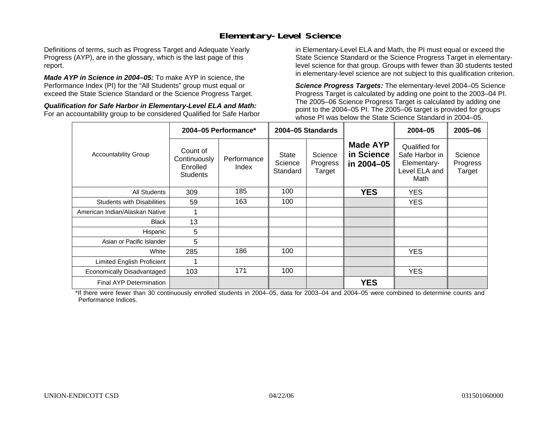### **Elementary-Level Science**

Definitions of terms, such as Progress Target and Adequate Yearly Progress (AYP), are in the glossary, which is the last page of this report.

*Made AYP in Science in 2004–05:* To make AYP in science, the Performance Index (PI) for the "All Students" group must equal or exceed the State Science Standard or the Science Progress Target.

*Qualification for Safe Harbor in Elementary-Level ELA and Math:* For an accountability group to be considered Qualified for Safe Harbor in Elementary-Level ELA and Math, the PI must equal or exceed the State Science Standard or the Science Progress Target in elementarylevel science for that group. Groups with fewer than 30 students tested in elementary-level science are not subject to this qualification criterion.

*Science Progress Targets:* The elementary-level 2004–05 Science Progress Target is calculated by adding one point to the 2003–04 PI. The 2005–06 Science Progress Target is calculated by adding one point to the 2004–05 PI. The 2005–06 target is provided for groups whose PI was below the State Science Standard in 2004–05.

|                                   |                                                         | 2004-05 Performance* |                                     | 2004-05 Standards             |                                             | $2004 - 05$                                                             | 2005-06                       |
|-----------------------------------|---------------------------------------------------------|----------------------|-------------------------------------|-------------------------------|---------------------------------------------|-------------------------------------------------------------------------|-------------------------------|
| <b>Accountability Group</b>       | Count of<br>Continuously<br>Enrolled<br><b>Students</b> | Performance<br>Index | <b>State</b><br>Science<br>Standard | Science<br>Progress<br>Target | <b>Made AYP</b><br>in Science<br>in 2004-05 | Qualified for<br>Safe Harbor in<br>Elementary-<br>Level ELA and<br>Math | Science<br>Progress<br>Target |
| <b>All Students</b>               | 309                                                     | 185                  | 100                                 |                               | <b>YES</b>                                  | <b>YES</b>                                                              |                               |
| <b>Students with Disabilities</b> | 59                                                      | 163                  | 100                                 |                               |                                             | YES.                                                                    |                               |
| American Indian/Alaskan Native    |                                                         |                      |                                     |                               |                                             |                                                                         |                               |
| <b>Black</b>                      | 13                                                      |                      |                                     |                               |                                             |                                                                         |                               |
| Hispanic                          | 5                                                       |                      |                                     |                               |                                             |                                                                         |                               |
| Asian or Pacific Islander         | 5                                                       |                      |                                     |                               |                                             |                                                                         |                               |
| White                             | 285                                                     | 186                  | 100                                 |                               |                                             | YES.                                                                    |                               |
| Limited English Proficient        |                                                         |                      |                                     |                               |                                             |                                                                         |                               |
| Economically Disadvantaged        | 103                                                     | 171                  | 100                                 |                               |                                             | YES.                                                                    |                               |
| <b>Final AYP Determination</b>    |                                                         |                      |                                     |                               | <b>YES</b>                                  |                                                                         |                               |

\*If there were fewer than 30 continuously enrolled students in 2004–05, data for 2003–04 and 2004–05 were combined to determine counts and Performance Indices.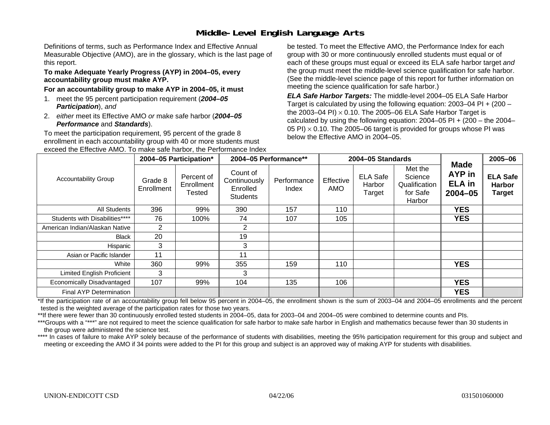# **Middle-Level English Language Arts**

Definitions of terms, such as Performance Index and Effective Annual Measurable Objective (AMO), are in the glossary, which is the last page of this report.

#### **To make Adequate Yearly Progress (AYP) in 2004–05, every accountability group must make AYP.**

#### **For an accountability group to make AYP in 2004–05, it must**

- 1. meet the 95 percent participation requirement (*2004–05 Participation*), *and*
- 2. *either* meet its Effective AMO *or* make safe harbor (*2004–05 Performance* and *Standards*).

To meet the participation requirement, 95 percent of the grade 8 enrollment in each accountability group with 40 or more students must exceed the Effective AMO. To make safe harbor, the Performance Index

be tested. To meet the Effective AMO, the Performance Index for each group with 30 or more continuously enrolled students must equal or of each of these groups must equal or exceed its ELA safe harbor target *and* the group must meet the middle-level science qualification for safe harbor. (See the middle-level science page of this report for further information on meeting the science qualification for safe harbor.)

*ELA Safe Harbor Targets:* The middle-level 2004–05 ELA Safe Harbor Target is calculated by using the following equation: 2003–04 PI + (200 – the 2003–04 PI) <sup>×</sup> 0.10. The 2005–06 ELA Safe Harbor Target is calculated by using the following equation:  $2004-05$  PI +  $(200 -$  the  $2004-$ 05 PI)  $\times$  0.10. The 2005–06 target is provided for groups whose PI was below the Effective AMO in 2004–05.

|                                   |                       | 2004-05 Participation*             |                                                         | 2004-05 Performance** |                  | 2004-05 Standards                   |                                                           |                                                       | 2005-06                                           |
|-----------------------------------|-----------------------|------------------------------------|---------------------------------------------------------|-----------------------|------------------|-------------------------------------|-----------------------------------------------------------|-------------------------------------------------------|---------------------------------------------------|
| <b>Accountability Group</b>       | Grade 8<br>Enrollment | Percent of<br>Enrollment<br>Tested | Count of<br>Continuously<br>Enrolled<br><b>Students</b> | Performance<br>Index  | Effective<br>AMO | <b>ELA Safe</b><br>Harbor<br>Target | Met the<br>Science<br>Qualification<br>for Safe<br>Harbor | <b>Made</b><br>AYP in<br><b>ELA</b> in<br>$2004 - 05$ | <b>ELA Safe</b><br><b>Harbor</b><br><b>Target</b> |
| All Students                      | 396                   | 99%                                | 390                                                     | 157                   | 110              |                                     |                                                           | <b>YES</b>                                            |                                                   |
| Students with Disabilities****    | 76                    | 100%                               | 74                                                      | 107                   | 105              |                                     |                                                           | <b>YES</b>                                            |                                                   |
| American Indian/Alaskan Native    | $\overline{2}$        |                                    | $\overline{2}$                                          |                       |                  |                                     |                                                           |                                                       |                                                   |
| Black                             | 20                    |                                    | 19                                                      |                       |                  |                                     |                                                           |                                                       |                                                   |
| Hispanic                          | 3                     |                                    | 3                                                       |                       |                  |                                     |                                                           |                                                       |                                                   |
| Asian or Pacific Islander         | 11                    |                                    | 11                                                      |                       |                  |                                     |                                                           |                                                       |                                                   |
| White                             | 360                   | 99%                                | 355                                                     | 159                   | 110              |                                     |                                                           | <b>YES</b>                                            |                                                   |
| <b>Limited English Proficient</b> | 3                     |                                    | 3                                                       |                       |                  |                                     |                                                           |                                                       |                                                   |
| Economically Disadvantaged        | 107                   | 99%                                | 104                                                     | 135                   | 106              |                                     |                                                           | <b>YES</b>                                            |                                                   |
| Final AYP Determination           |                       |                                    |                                                         |                       |                  |                                     |                                                           | <b>YES</b>                                            |                                                   |

\*If the participation rate of an accountability group fell below 95 percent in 2004–05, the enrollment shown is the sum of 2003–04 and 2004–05 enrollments and the percent tested is the weighted average of the participation rates for those two years.

\*\*If there were fewer than 30 continuously enrolled tested students in 2004–05, data for 2003–04 and 2004–05 were combined to determine counts and PIs.

\*\*\*Groups with a "\*\*\*" are not required to meet the science qualification for safe harbor to make safe harbor in English and mathematics because fewer than 30 students in the group were administered the science test.

\*\*\*\* In cases of failure to make AYP solely because of the performance of students with disabilities, meeting the 95% participation requirement for this group and subject and meeting or exceeding the AMO if 34 points were added to the PI for this group and subject is an approved way of making AYP for students with disabilities.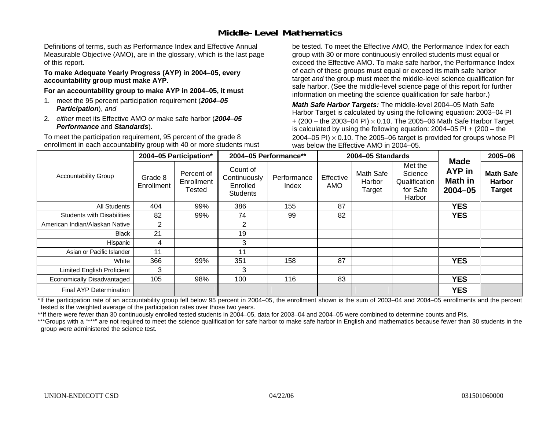### **Middle-Level Mathematics**

Definitions of terms, such as Performance Index and Effective Annual Measurable Objective (AMO), are in the glossary, which is the last page of this report.

#### **To make Adequate Yearly Progress (AYP) in 2004–05, every accountability group must make AYP.**

**For an accountability group to make AYP in 2004–05, it must** 

- 1. meet the 95 percent participation requirement (*2004–05 Participation*), *and*
- 2. *either* meet its Effective AMO *or* make safe harbor (*2004–05 Performance* and *Standards*).

To meet the participation requirement, 95 percent of the grade 8 enrollment in each accountability group with 40 or more students must be tested. To meet the Effective AMO, the Performance Index for each group with 30 or more continuously enrolled students must equal or exceed the Effective AMO. To make safe harbor, the Performance Index of each of these groups must equal or exceed its math safe harbor target *and* the group must meet the middle-level science qualification for safe harbor. (See the middle-level science page of this report for further information on meeting the science qualification for safe harbor.)

*Math Safe Harbor Targets:* The middle-level 2004–05 Math Safe Harbor Target is calculated by using the following equation: 2003–04 PI + (200 – the 2003–04 PI) <sup>×</sup> 0.10. The 2005–06 Math Safe Harbor Target is calculated by using the following equation: 2004–05 PI + (200 – the 2004–05 PI)  $\times$  0.10. The 2005–06 target is provided for groups whose PI was below the Effective AMO in 2004–05.

|                                   |                       | 2004-05 Participation*                    |                                                         | 2004-05 Performance** |                  | 2004-05 Standards             |                                                           | <b>Made</b>                         | 2005-06                                            |
|-----------------------------------|-----------------------|-------------------------------------------|---------------------------------------------------------|-----------------------|------------------|-------------------------------|-----------------------------------------------------------|-------------------------------------|----------------------------------------------------|
| <b>Accountability Group</b>       | Grade 8<br>Enrollment | Percent of<br>Enrollment<br><b>Tested</b> | Count of<br>Continuously<br>Enrolled<br><b>Students</b> | Performance<br>Index  | Effective<br>AMO | Math Safe<br>Harbor<br>Target | Met the<br>Science<br>Qualification<br>for Safe<br>Harbor | AYP in<br><b>Math in</b><br>2004-05 | <b>Math Safe</b><br><b>Harbor</b><br><b>Target</b> |
| All Students                      | 404                   | 99%                                       | 386                                                     | 155                   | 87               |                               |                                                           | <b>YES</b>                          |                                                    |
| <b>Students with Disabilities</b> | 82                    | 99%                                       | 74                                                      | 99                    | 82               |                               |                                                           | <b>YES</b>                          |                                                    |
| American Indian/Alaskan Native    | 2                     |                                           | $\overline{2}$                                          |                       |                  |                               |                                                           |                                     |                                                    |
| <b>Black</b>                      | 21                    |                                           | 19                                                      |                       |                  |                               |                                                           |                                     |                                                    |
| Hispanic                          | 4                     |                                           | 3                                                       |                       |                  |                               |                                                           |                                     |                                                    |
| Asian or Pacific Islander         | 11                    |                                           | 11                                                      |                       |                  |                               |                                                           |                                     |                                                    |
| White                             | 366                   | 99%                                       | 351                                                     | 158                   | 87               |                               |                                                           | <b>YES</b>                          |                                                    |
| <b>Limited English Proficient</b> | 3                     |                                           | 3                                                       |                       |                  |                               |                                                           |                                     |                                                    |
| Economically Disadvantaged        | 105                   | 98%                                       | 100                                                     | 116                   | 83               |                               |                                                           | <b>YES</b>                          |                                                    |
| <b>Final AYP Determination</b>    |                       |                                           |                                                         |                       |                  |                               |                                                           | <b>YES</b>                          |                                                    |

\*If the participation rate of an accountability group fell below 95 percent in 2004–05, the enrollment shown is the sum of 2003–04 and 2004–05 enrollments and the percent tested is the weighted average of the participation rates over those two years.

\*\*If there were fewer than 30 continuously enrolled tested students in 2004–05, data for 2003–04 and 2004–05 were combined to determine counts and PIs.

\*\*\*Groups with a "\*\*\*" are not required to meet the science qualification for safe harbor to make safe harbor in English and mathematics because fewer than 30 students in the group were administered the science test.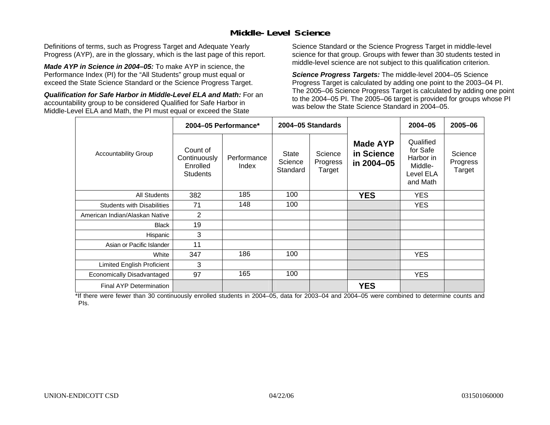### **Middle-Level Science**

Definitions of terms, such as Progress Target and Adequate Yearly Progress (AYP), are in the glossary, which is the last page of this report.

*Made AYP in Science in 2004–05:* To make AYP in science, the Performance Index (PI) for the "All Students" group must equal or exceed the State Science Standard or the Science Progress Target.

*Qualification for Safe Harbor in Middle-Level ELA and Math:* For an accountability group to be considered Qualified for Safe Harbor in Middle-Level ELA and Math, the PI must equal or exceed the State

Science Standard or the Science Progress Target in middle-level science for that group. Groups with fewer than 30 students tested in middle-level science are not subject to this qualification criterion.

*Science Progress Targets:* The middle-level 2004–05 Science Progress Target is calculated by adding one point to the 2003–04 PI. The 2005–06 Science Progress Target is calculated by adding one point to the 2004–05 PI. The 2005–06 target is provided for groups whose PI was below the State Science Standard in 2004–05.

|                                   |                                                         | 2004-05 Performance* |                                     | 2004-05 Standards             |                                             | $2004 - 05$                                                            | 2005-06                       |
|-----------------------------------|---------------------------------------------------------|----------------------|-------------------------------------|-------------------------------|---------------------------------------------|------------------------------------------------------------------------|-------------------------------|
| <b>Accountability Group</b>       | Count of<br>Continuously<br>Enrolled<br><b>Students</b> | Performance<br>Index | <b>State</b><br>Science<br>Standard | Science<br>Progress<br>Target | <b>Made AYP</b><br>in Science<br>in 2004-05 | Qualified<br>for Safe<br>Harbor in<br>Middle-<br>Level ELA<br>and Math | Science<br>Progress<br>Target |
| <b>All Students</b>               | 382                                                     | 185                  | 100                                 |                               | <b>YES</b>                                  | <b>YES</b>                                                             |                               |
| <b>Students with Disabilities</b> | 71                                                      | 148                  | 100                                 |                               |                                             | <b>YES</b>                                                             |                               |
| American Indian/Alaskan Native    | 2                                                       |                      |                                     |                               |                                             |                                                                        |                               |
| <b>Black</b>                      | 19                                                      |                      |                                     |                               |                                             |                                                                        |                               |
| Hispanic                          | 3                                                       |                      |                                     |                               |                                             |                                                                        |                               |
| Asian or Pacific Islander         | 11                                                      |                      |                                     |                               |                                             |                                                                        |                               |
| White                             | 347                                                     | 186                  | 100                                 |                               |                                             | <b>YES</b>                                                             |                               |
| Limited English Proficient        | 3                                                       |                      |                                     |                               |                                             |                                                                        |                               |
| Economically Disadvantaged        | 97                                                      | 165                  | 100                                 |                               |                                             | <b>YES</b>                                                             |                               |
| <b>Final AYP Determination</b>    |                                                         |                      |                                     |                               | <b>YES</b>                                  |                                                                        |                               |

\*If there were fewer than 30 continuously enrolled students in 2004–05, data for 2003–04 and 2004–05 were combined to determine counts and PIs.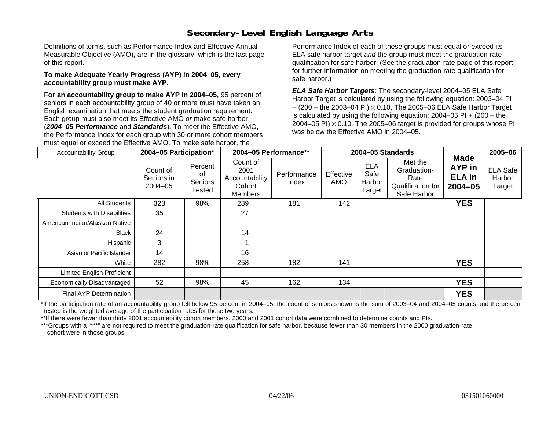# **Secondary-Level English Language Arts**

Definitions of terms, such as Performance Index and Effective Annual Measurable Objective (AMO), are in the glossary, which is the last page of this report.

#### **To make Adequate Yearly Progress (AYP) in 2004–05, every accountability group must make AYP.**

**For an accountability group to make AYP in 2004–05,** 95 percent of seniors in each accountability group of 40 or more must have taken an English examination that meets the student graduation requirement. Each group must also meet its Effective AMO *or* make safe harbor (*2004–05 Performance* and *Standards*). To meet the Effective AMO, the Performance Index for each group with 30 or more cohort members must equal or exceed the Effective AMO. To make safe harbor, the

Performance Index of each of these groups must equal or exceed its ELA safe harbor target *and* the group must meet the graduation-rate qualification for safe harbor. (See the graduation-rate page of this report for further information on meeting the graduation-rate qualification for safe harbor.)

*ELA Safe Harbor Targets:* The secondary-level 2004–05 ELA Safe Harbor Target is calculated by using the following equation: 2003–04 PI + (200 – the 2003–04 PI) <sup>×</sup> 0.10. The 2005–06 ELA Safe Harbor Target is calculated by using the following equation:  $2004-05$  PI  $+$  (200 – the 2004–05 PI)  $\times$  0.10. The 2005–06 target is provided for groups whose PI was below the Effective AMO in 2004–05.

| <b>Accountability Group</b>       | 2004-05 Participation*                |                                    | 2004-05 Performance**                                   |                      | 2004-05 Standards |                                        | <b>Made</b>                                                        | 2005-06                                |                                     |
|-----------------------------------|---------------------------------------|------------------------------------|---------------------------------------------------------|----------------------|-------------------|----------------------------------------|--------------------------------------------------------------------|----------------------------------------|-------------------------------------|
|                                   | Count of<br>Seniors in<br>$2004 - 05$ | Percent<br>οf<br>Seniors<br>Tested | Count of<br>2001<br>Accountability<br>Cohort<br>Members | Performance<br>Index | Effective<br>AMO  | <b>ELA</b><br>Safe<br>Harbor<br>Target | Met the<br>Graduation-<br>Rate<br>Qualification for<br>Safe Harbor | AYP in<br><b>ELA</b> in<br>$2004 - 05$ | <b>ELA Safe</b><br>Harbor<br>Target |
| All Students                      | 323                                   | 98%                                | 289                                                     | 181                  | 142               |                                        |                                                                    | <b>YES</b>                             |                                     |
| <b>Students with Disabilities</b> | 35                                    |                                    | 27                                                      |                      |                   |                                        |                                                                    |                                        |                                     |
| American Indian/Alaskan Native    |                                       |                                    |                                                         |                      |                   |                                        |                                                                    |                                        |                                     |
| <b>Black</b>                      | 24                                    |                                    | 14                                                      |                      |                   |                                        |                                                                    |                                        |                                     |
| Hispanic                          | 3                                     |                                    |                                                         |                      |                   |                                        |                                                                    |                                        |                                     |
| Asian or Pacific Islander         | 14                                    |                                    | 16                                                      |                      |                   |                                        |                                                                    |                                        |                                     |
| White                             | 282                                   | 98%                                | 258                                                     | 182                  | 141               |                                        |                                                                    | <b>YES</b>                             |                                     |
| Limited English Proficient        |                                       |                                    |                                                         |                      |                   |                                        |                                                                    |                                        |                                     |
| Economically Disadvantaged        | 52                                    | 98%                                | 45                                                      | 162                  | 134               |                                        |                                                                    | <b>YES</b>                             |                                     |
| Final AYP Determination           |                                       |                                    |                                                         |                      |                   |                                        |                                                                    | <b>YES</b>                             |                                     |

\*If the participation rate of an accountability group fell below 95 percent in 2004–05, the count of seniors shown is the sum of 2003–04 and 2004–05 counts and the percent tested is the weighted average of the participation rates for those two years.

\*\*If there were fewer than thirty 2001 accountability cohort members, 2000 and 2001 cohort data were combined to determine counts and PIs.

\*\*\*Groups with a "\*\*\*" are not required to meet the graduation-rate qualification for safe harbor, because fewer than 30 members in the 2000 graduation-rate cohort were in those groups.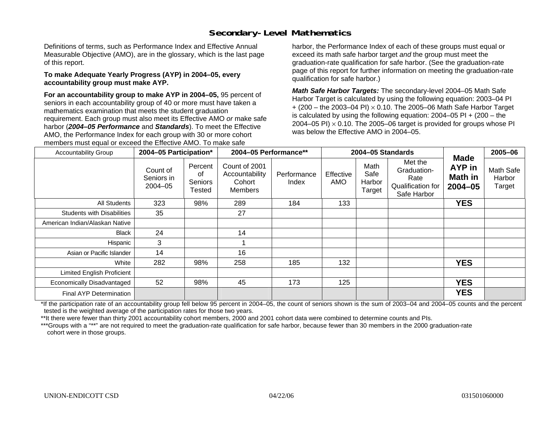# **Secondary-Level Mathematics**

Definitions of terms, such as Performance Index and Effective Annual Measurable Objective (AMO), are in the glossary, which is the last page of this report.

#### **To make Adequate Yearly Progress (AYP) in 2004–05, every accountability group must make AYP.**

**For an accountability group to make AYP in 2004–05,** 95 percent of seniors in each accountability group of 40 or more must have taken a mathematics examination that meets the student graduation requirement. Each group must also meet its Effective AMO *or* make safe harbor (*2004–05 Performance* and *Standards*). To meet the Effective AMO, the Performance Index for each group with 30 or more cohort members must equal or exceed the Effective AMO. To make safe

harbor, the Performance Index of each of these groups must equal or exceed its math safe harbor target *and* the group must meet the graduation-rate qualification for safe harbor. (See the graduation-rate page of this report for further information on meeting the graduation-rate qualification for safe harbor.)

*Math Safe Harbor Targets:* The secondary-level 2004–05 Math Safe Harbor Target is calculated by using the following equation: 2003–04 PI + (200 – the 2003–04 PI) <sup>×</sup> 0.10. The 2005–06 Math Safe Harbor Target is calculated by using the following equation: 2004–05 PI + (200 – the 2004–05 PI)  $\times$  0.10. The 2005–06 target is provided for groups whose PI was below the Effective AMO in 2004–05.

| <b>Accountability Group</b>       | 2004-05 Participation*                |                                    | 2004-05 Performance**                                       |                      | 2004-05 Standards |                                  | <b>Made</b>                                                        | 2005-06                          |                               |
|-----------------------------------|---------------------------------------|------------------------------------|-------------------------------------------------------------|----------------------|-------------------|----------------------------------|--------------------------------------------------------------------|----------------------------------|-------------------------------|
|                                   | Count of<br>Seniors in<br>$2004 - 05$ | Percent<br>οf<br>Seniors<br>Tested | Count of 2001<br>Accountability<br>Cohort<br><b>Members</b> | Performance<br>Index | Effective<br>AMO  | Math<br>Safe<br>Harbor<br>Target | Met the<br>Graduation-<br>Rate<br>Qualification for<br>Safe Harbor | AYP in<br>Math in<br>$2004 - 05$ | Math Safe<br>Harbor<br>Target |
| All Students                      | 323                                   | 98%                                | 289                                                         | 184                  | 133               |                                  |                                                                    | <b>YES</b>                       |                               |
| <b>Students with Disabilities</b> | 35                                    |                                    | 27                                                          |                      |                   |                                  |                                                                    |                                  |                               |
| American Indian/Alaskan Native    |                                       |                                    |                                                             |                      |                   |                                  |                                                                    |                                  |                               |
| <b>Black</b>                      | 24                                    |                                    | 14                                                          |                      |                   |                                  |                                                                    |                                  |                               |
| Hispanic                          | 3                                     |                                    |                                                             |                      |                   |                                  |                                                                    |                                  |                               |
| Asian or Pacific Islander         | 14                                    |                                    | 16                                                          |                      |                   |                                  |                                                                    |                                  |                               |
| White                             | 282                                   | 98%                                | 258                                                         | 185                  | 132               |                                  |                                                                    | <b>YES</b>                       |                               |
| <b>Limited English Proficient</b> |                                       |                                    |                                                             |                      |                   |                                  |                                                                    |                                  |                               |
| Economically Disadvantaged        | 52                                    | 98%                                | 45                                                          | 173                  | 125               |                                  |                                                                    | <b>YES</b>                       |                               |
| Final AYP Determination           |                                       |                                    |                                                             |                      |                   |                                  |                                                                    | <b>YES</b>                       |                               |

\*If the participation rate of an accountability group fell below 95 percent in 2004–05, the count of seniors shown is the sum of 2003–04 and 2004–05 counts and the percent tested is the weighted average of the participation rates for those two years.

\*\*It there were fewer than thirty 2001 accountability cohort members, 2000 and 2001 cohort data were combined to determine counts and PIs.

\*\*\*Groups with a "\*\*" are not required to meet the graduation-rate qualification for safe harbor, because fewer than 30 members in the 2000 graduation-rate cohort were in those groups.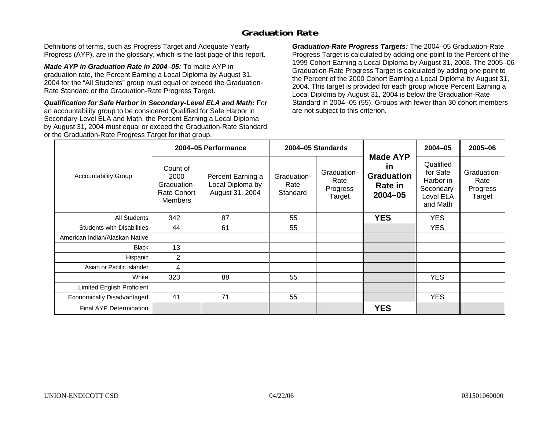### **Graduation Rate**

Definitions of terms, such as Progress Target and Adequate Yearly Progress (AYP), are in the glossary, which is the last page of this report.

*Made AYP in Graduation Rate in 2004–05:* To make AYP in graduation rate, the Percent Earning a Local Diploma by August 31, 2004 for the "All Students" group must equal or exceed the Graduation-Rate Standard or the Graduation-Rate Progress Target.

*Qualification for Safe Harbor in Secondary-Level ELA and Math:* For an accountability group to be considered Qualified for Safe Harbor in Secondary-Level ELA and Math, the Percent Earning a Local Diploma by August 31, 2004 must equal or exceed the Graduation-Rate Standard or the Graduation-Rate Progress Target for that group.

*Graduation-Rate Progress Targets:* The 2004–05 Graduation-Rate Progress Target is calculated by adding one point to the Percent of the 1999 Cohort Earning a Local Diploma by August 31, 2003. The 2005–06 Graduation-Rate Progress Target is calculated by adding one point to the Percent of the 2000 Cohort Earning a Local Diploma by August 31, 2004. This target is provided for each group whose Percent Earning a Local Diploma by August 31, 2004 is below the Graduation-Rate Standard in 2004–05 (55). Groups with fewer than 30 cohort members are not subject to this criterion.

|                                   |                                                                  | 2004-05 Performance                                      |                                 | 2004-05 Standards                         |                                                                             | 2004-05                                                                   | 2005-06                                   |
|-----------------------------------|------------------------------------------------------------------|----------------------------------------------------------|---------------------------------|-------------------------------------------|-----------------------------------------------------------------------------|---------------------------------------------------------------------------|-------------------------------------------|
| <b>Accountability Group</b>       | Count of<br>2000<br>Graduation-<br>Rate Cohort<br><b>Members</b> | Percent Earning a<br>Local Diploma by<br>August 31, 2004 | Graduation-<br>Rate<br>Standard | Graduation-<br>Rate<br>Progress<br>Target | <b>Made AYP</b><br><u>in</u><br><b>Graduation</b><br>Rate in<br>$2004 - 05$ | Qualified<br>for Safe<br>Harbor in<br>Secondary-<br>Level ELA<br>and Math | Graduation-<br>Rate<br>Progress<br>Target |
| All Students                      | 342                                                              | 87                                                       | 55                              |                                           | <b>YES</b>                                                                  | <b>YES</b>                                                                |                                           |
| <b>Students with Disabilities</b> | 44                                                               | 61                                                       | 55                              |                                           |                                                                             | YES.                                                                      |                                           |
| American Indian/Alaskan Native    |                                                                  |                                                          |                                 |                                           |                                                                             |                                                                           |                                           |
| <b>Black</b>                      | 13                                                               |                                                          |                                 |                                           |                                                                             |                                                                           |                                           |
| Hispanic                          | 2                                                                |                                                          |                                 |                                           |                                                                             |                                                                           |                                           |
| Asian or Pacific Islander         | 4                                                                |                                                          |                                 |                                           |                                                                             |                                                                           |                                           |
| White                             | 323                                                              | 88                                                       | 55                              |                                           |                                                                             | <b>YES</b>                                                                |                                           |
| Limited English Proficient        |                                                                  |                                                          |                                 |                                           |                                                                             |                                                                           |                                           |
| Economically Disadvantaged        | 41                                                               | 71                                                       | 55                              |                                           |                                                                             | <b>YES</b>                                                                |                                           |
| <b>Final AYP Determination</b>    |                                                                  |                                                          |                                 |                                           | <b>YES</b>                                                                  |                                                                           |                                           |